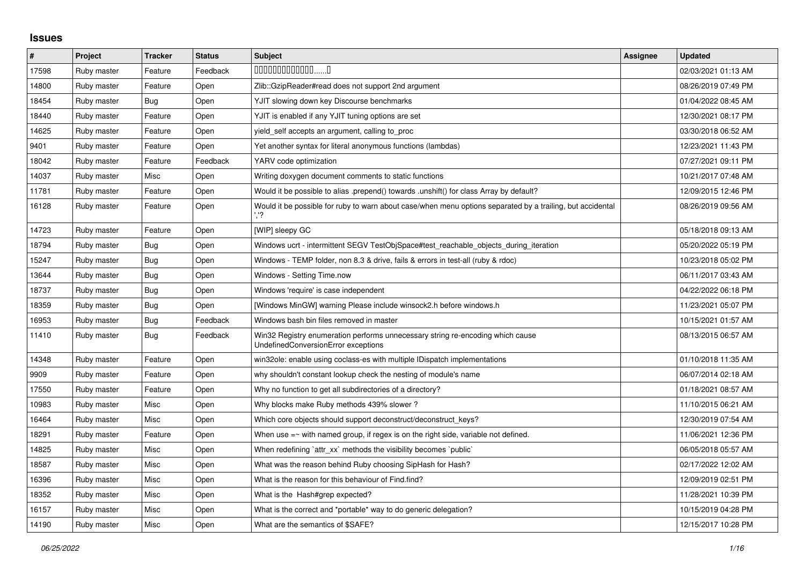## **Issues**

| $\vert$ # | Project     | <b>Tracker</b> | <b>Status</b> | <b>Subject</b>                                                                                                        | <b>Assignee</b> | <b>Updated</b>      |
|-----------|-------------|----------------|---------------|-----------------------------------------------------------------------------------------------------------------------|-----------------|---------------------|
| 17598     | Ruby master | Feature        | Feedback      | $0000000000000010$                                                                                                    |                 | 02/03/2021 01:13 AM |
| 14800     | Ruby master | Feature        | Open          | Zlib::GzipReader#read does not support 2nd argument                                                                   |                 | 08/26/2019 07:49 PM |
| 18454     | Ruby master | Bug            | Open          | YJIT slowing down key Discourse benchmarks                                                                            |                 | 01/04/2022 08:45 AM |
| 18440     | Ruby master | Feature        | Open          | YJIT is enabled if any YJIT tuning options are set                                                                    |                 | 12/30/2021 08:17 PM |
| 14625     | Ruby master | Feature        | Open          | yield_self accepts an argument, calling to_proc                                                                       |                 | 03/30/2018 06:52 AM |
| 9401      | Ruby master | Feature        | Open          | Yet another syntax for literal anonymous functions (lambdas)                                                          |                 | 12/23/2021 11:43 PM |
| 18042     | Ruby master | Feature        | Feedback      | YARV code optimization                                                                                                |                 | 07/27/2021 09:11 PM |
| 14037     | Ruby master | Misc           | Open          | Writing doxygen document comments to static functions                                                                 |                 | 10/21/2017 07:48 AM |
| 11781     | Ruby master | Feature        | Open          | Would it be possible to alias .prepend() towards .unshift() for class Array by default?                               |                 | 12/09/2015 12:46 PM |
| 16128     | Ruby master | Feature        | Open          | Would it be possible for ruby to warn about case/when menu options separated by a trailing, but accidental            |                 | 08/26/2019 09:56 AM |
| 14723     | Ruby master | Feature        | Open          | [WIP] sleepy GC                                                                                                       |                 | 05/18/2018 09:13 AM |
| 18794     | Ruby master | Bug            | Open          | Windows ucrt - intermittent SEGV TestObjSpace#test reachable objects during iteration                                 |                 | 05/20/2022 05:19 PM |
| 15247     | Ruby master | Bug            | Open          | Windows - TEMP folder, non 8.3 & drive, fails & errors in test-all (ruby & rdoc)                                      |                 | 10/23/2018 05:02 PM |
| 13644     | Ruby master | Bug            | Open          | Windows - Setting Time.now                                                                                            |                 | 06/11/2017 03:43 AM |
| 18737     | Ruby master | <b>Bug</b>     | Open          | Windows 'require' is case independent                                                                                 |                 | 04/22/2022 06:18 PM |
| 18359     | Ruby master | Bug            | Open          | [Windows MinGW] warning Please include winsock2.h before windows.h                                                    |                 | 11/23/2021 05:07 PM |
| 16953     | Ruby master | Bug            | Feedback      | Windows bash bin files removed in master                                                                              |                 | 10/15/2021 01:57 AM |
| 11410     | Ruby master | Bug            | Feedback      | Win32 Registry enumeration performs unnecessary string re-encoding which cause<br>UndefinedConversionError exceptions |                 | 08/13/2015 06:57 AM |
| 14348     | Ruby master | Feature        | Open          | win32ole: enable using coclass-es with multiple IDispatch implementations                                             |                 | 01/10/2018 11:35 AM |
| 9909      | Ruby master | Feature        | Open          | why shouldn't constant lookup check the nesting of module's name                                                      |                 | 06/07/2014 02:18 AM |
| 17550     | Ruby master | Feature        | Open          | Why no function to get all subdirectories of a directory?                                                             |                 | 01/18/2021 08:57 AM |
| 10983     | Ruby master | Misc           | Open          | Why blocks make Ruby methods 439% slower?                                                                             |                 | 11/10/2015 06:21 AM |
| 16464     | Ruby master | Misc           | Open          | Which core objects should support deconstruct/deconstruct_keys?                                                       |                 | 12/30/2019 07:54 AM |
| 18291     | Ruby master | Feature        | Open          | When use $=$ $\sim$ with named group, if regex is on the right side, variable not defined.                            |                 | 11/06/2021 12:36 PM |
| 14825     | Ruby master | Misc           | Open          | When redefining `attr_xx` methods the visibility becomes `public`                                                     |                 | 06/05/2018 05:57 AM |
| 18587     | Ruby master | Misc           | Open          | What was the reason behind Ruby choosing SipHash for Hash?                                                            |                 | 02/17/2022 12:02 AM |
| 16396     | Ruby master | Misc           | Open          | What is the reason for this behaviour of Find.find?                                                                   |                 | 12/09/2019 02:51 PM |
| 18352     | Ruby master | Misc           | Open          | What is the Hash#grep expected?                                                                                       |                 | 11/28/2021 10:39 PM |
| 16157     | Ruby master | Misc           | Open          | What is the correct and *portable* way to do generic delegation?                                                      |                 | 10/15/2019 04:28 PM |
| 14190     | Ruby master | Misc           | Open          | What are the semantics of \$SAFE?                                                                                     |                 | 12/15/2017 10:28 PM |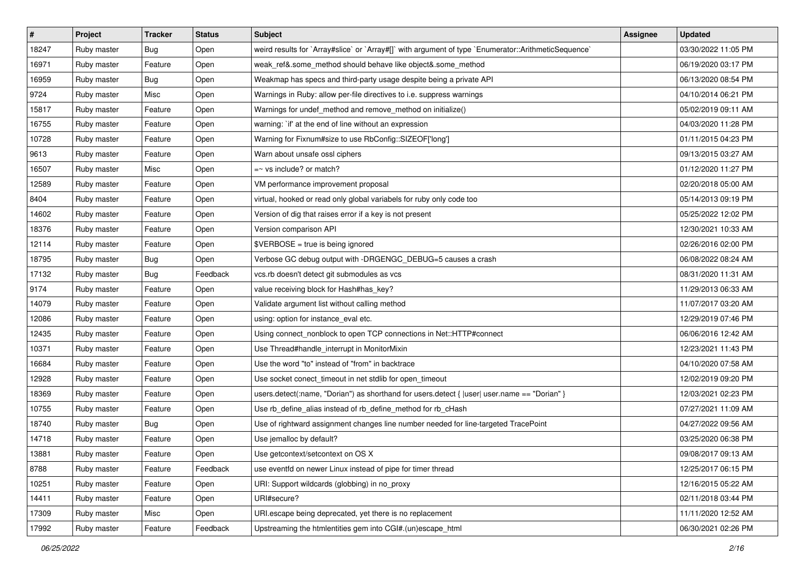| $\vert$ # | Project     | <b>Tracker</b> | <b>Status</b> | <b>Subject</b>                                                                                       | <b>Assignee</b> | <b>Updated</b>      |
|-----------|-------------|----------------|---------------|------------------------------------------------------------------------------------------------------|-----------------|---------------------|
| 18247     | Ruby master | <b>Bug</b>     | Open          | weird results for `Array#slice` or `Array#[]` with argument of type `Enumerator::ArithmeticSequence` |                 | 03/30/2022 11:05 PM |
| 16971     | Ruby master | Feature        | Open          | weak_ref&.some_method should behave like object&.some_method                                         |                 | 06/19/2020 03:17 PM |
| 16959     | Ruby master | Bug            | Open          | Weakmap has specs and third-party usage despite being a private API                                  |                 | 06/13/2020 08:54 PM |
| 9724      | Ruby master | Misc           | Open          | Warnings in Ruby: allow per-file directives to i.e. suppress warnings                                |                 | 04/10/2014 06:21 PM |
| 15817     | Ruby master | Feature        | Open          | Warnings for undef_method and remove_method on initialize()                                          |                 | 05/02/2019 09:11 AM |
| 16755     | Ruby master | Feature        | Open          | warning: `if' at the end of line without an expression                                               |                 | 04/03/2020 11:28 PM |
| 10728     | Ruby master | Feature        | Open          | Warning for Fixnum#size to use RbConfig::SIZEOF['long']                                              |                 | 01/11/2015 04:23 PM |
| 9613      | Ruby master | Feature        | Open          | Warn about unsafe ossl ciphers                                                                       |                 | 09/13/2015 03:27 AM |
| 16507     | Ruby master | Misc           | Open          | $=$ vs include? or match?                                                                            |                 | 01/12/2020 11:27 PM |
| 12589     | Ruby master | Feature        | Open          | VM performance improvement proposal                                                                  |                 | 02/20/2018 05:00 AM |
| 8404      | Ruby master | Feature        | Open          | virtual, hooked or read only global variabels for ruby only code too                                 |                 | 05/14/2013 09:19 PM |
| 14602     | Ruby master | Feature        | Open          | Version of dig that raises error if a key is not present                                             |                 | 05/25/2022 12:02 PM |
| 18376     | Ruby master | Feature        | Open          | Version comparison API                                                                               |                 | 12/30/2021 10:33 AM |
| 12114     | Ruby master | Feature        | Open          | \$VERBOSE = true is being ignored                                                                    |                 | 02/26/2016 02:00 PM |
| 18795     | Ruby master | Bug            | Open          | Verbose GC debug output with -DRGENGC_DEBUG=5 causes a crash                                         |                 | 06/08/2022 08:24 AM |
| 17132     | Ruby master | Bug            | Feedback      | vcs.rb doesn't detect git submodules as vcs                                                          |                 | 08/31/2020 11:31 AM |
| 9174      | Ruby master | Feature        | Open          | value receiving block for Hash#has_key?                                                              |                 | 11/29/2013 06:33 AM |
| 14079     | Ruby master | Feature        | Open          | Validate argument list without calling method                                                        |                 | 11/07/2017 03:20 AM |
| 12086     | Ruby master | Feature        | Open          | using: option for instance_eval etc.                                                                 |                 | 12/29/2019 07:46 PM |
| 12435     | Ruby master | Feature        | Open          | Using connect_nonblock to open TCP connections in Net::HTTP#connect                                  |                 | 06/06/2016 12:42 AM |
| 10371     | Ruby master | Feature        | Open          | Use Thread#handle_interrupt in MonitorMixin                                                          |                 | 12/23/2021 11:43 PM |
| 16684     | Ruby master | Feature        | Open          | Use the word "to" instead of "from" in backtrace                                                     |                 | 04/10/2020 07:58 AM |
| 12928     | Ruby master | Feature        | Open          | Use socket conect_timeout in net stdlib for open_timeout                                             |                 | 12/02/2019 09:20 PM |
| 18369     | Ruby master | Feature        | Open          | users.detect(:name, "Dorian") as shorthand for users.detect {  user  user.name == "Dorian" }         |                 | 12/03/2021 02:23 PM |
| 10755     | Ruby master | Feature        | Open          | Use rb_define_alias instead of rb_define_method for rb_cHash                                         |                 | 07/27/2021 11:09 AM |
| 18740     | Ruby master | Bug            | Open          | Use of rightward assignment changes line number needed for line-targeted TracePoint                  |                 | 04/27/2022 09:56 AM |
| 14718     | Ruby master | Feature        | Open          | Use jemalloc by default?                                                                             |                 | 03/25/2020 06:38 PM |
| 13881     | Ruby master | Feature        | Open          | Use getcontext/setcontext on OS X                                                                    |                 | 09/08/2017 09:13 AM |
| 8788      | Ruby master | Feature        | Feedback      | use eventfd on newer Linux instead of pipe for timer thread                                          |                 | 12/25/2017 06:15 PM |
| 10251     | Ruby master | Feature        | Open          | URI: Support wildcards (globbing) in no_proxy                                                        |                 | 12/16/2015 05:22 AM |
| 14411     | Ruby master | Feature        | Open          | URI#secure?                                                                                          |                 | 02/11/2018 03:44 PM |
| 17309     | Ruby master | Misc           | Open          | URI.escape being deprecated, yet there is no replacement                                             |                 | 11/11/2020 12:52 AM |
| 17992     | Ruby master | Feature        | Feedback      | Upstreaming the htmlentities gem into CGI#.(un)escape_html                                           |                 | 06/30/2021 02:26 PM |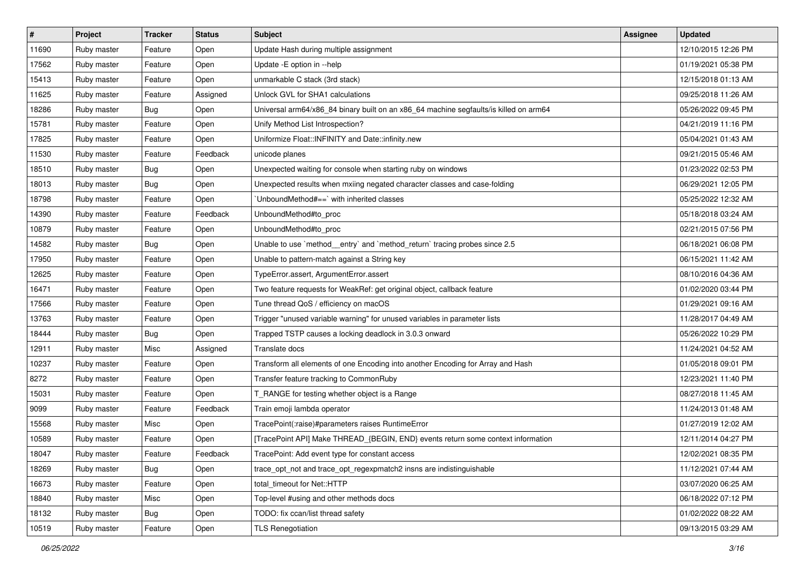| $\sharp$ | Project     | <b>Tracker</b> | <b>Status</b> | Subject                                                                               | <b>Assignee</b> | <b>Updated</b>      |
|----------|-------------|----------------|---------------|---------------------------------------------------------------------------------------|-----------------|---------------------|
| 11690    | Ruby master | Feature        | Open          | Update Hash during multiple assignment                                                |                 | 12/10/2015 12:26 PM |
| 17562    | Ruby master | Feature        | Open          | Update - E option in -- help                                                          |                 | 01/19/2021 05:38 PM |
| 15413    | Ruby master | Feature        | Open          | unmarkable C stack (3rd stack)                                                        |                 | 12/15/2018 01:13 AM |
| 11625    | Ruby master | Feature        | Assigned      | Unlock GVL for SHA1 calculations                                                      |                 | 09/25/2018 11:26 AM |
| 18286    | Ruby master | Bug            | Open          | Universal arm64/x86_84 binary built on an x86_64 machine segfaults/is killed on arm64 |                 | 05/26/2022 09:45 PM |
| 15781    | Ruby master | Feature        | Open          | Unify Method List Introspection?                                                      |                 | 04/21/2019 11:16 PM |
| 17825    | Ruby master | Feature        | Open          | Uniformize Float::INFINITY and Date::infinity.new                                     |                 | 05/04/2021 01:43 AM |
| 11530    | Ruby master | Feature        | Feedback      | unicode planes                                                                        |                 | 09/21/2015 05:46 AM |
| 18510    | Ruby master | <b>Bug</b>     | Open          | Unexpected waiting for console when starting ruby on windows                          |                 | 01/23/2022 02:53 PM |
| 18013    | Ruby master | <b>Bug</b>     | Open          | Unexpected results when mxiing negated character classes and case-folding             |                 | 06/29/2021 12:05 PM |
| 18798    | Ruby master | Feature        | Open          | UnboundMethod#==`with inherited classes                                               |                 | 05/25/2022 12:32 AM |
| 14390    | Ruby master | Feature        | Feedback      | UnboundMethod#to_proc                                                                 |                 | 05/18/2018 03:24 AM |
| 10879    | Ruby master | Feature        | Open          | UnboundMethod#to_proc                                                                 |                 | 02/21/2015 07:56 PM |
| 14582    | Ruby master | Bug            | Open          | Unable to use `method_entry` and `method_return` tracing probes since 2.5             |                 | 06/18/2021 06:08 PM |
| 17950    | Ruby master | Feature        | Open          | Unable to pattern-match against a String key                                          |                 | 06/15/2021 11:42 AM |
| 12625    | Ruby master | Feature        | Open          | TypeError.assert, ArgumentError.assert                                                |                 | 08/10/2016 04:36 AM |
| 16471    | Ruby master | Feature        | Open          | Two feature requests for WeakRef: get original object, callback feature               |                 | 01/02/2020 03:44 PM |
| 17566    | Ruby master | Feature        | Open          | Tune thread QoS / efficiency on macOS                                                 |                 | 01/29/2021 09:16 AM |
| 13763    | Ruby master | Feature        | Open          | Trigger "unused variable warning" for unused variables in parameter lists             |                 | 11/28/2017 04:49 AM |
| 18444    | Ruby master | <b>Bug</b>     | Open          | Trapped TSTP causes a locking deadlock in 3.0.3 onward                                |                 | 05/26/2022 10:29 PM |
| 12911    | Ruby master | Misc           | Assigned      | Translate docs                                                                        |                 | 11/24/2021 04:52 AM |
| 10237    | Ruby master | Feature        | Open          | Transform all elements of one Encoding into another Encoding for Array and Hash       |                 | 01/05/2018 09:01 PM |
| 8272     | Ruby master | Feature        | Open          | Transfer feature tracking to CommonRuby                                               |                 | 12/23/2021 11:40 PM |
| 15031    | Ruby master | Feature        | Open          | T_RANGE for testing whether object is a Range                                         |                 | 08/27/2018 11:45 AM |
| 9099     | Ruby master | Feature        | Feedback      | Train emoji lambda operator                                                           |                 | 11/24/2013 01:48 AM |
| 15568    | Ruby master | Misc           | Open          | TracePoint(:raise)#parameters raises RuntimeError                                     |                 | 01/27/2019 12:02 AM |
| 10589    | Ruby master | Feature        | Open          | [TracePoint API] Make THREAD_{BEGIN, END} events return some context information      |                 | 12/11/2014 04:27 PM |
| 18047    | Ruby master | Feature        | Feedback      | TracePoint: Add event type for constant access                                        |                 | 12/02/2021 08:35 PM |
| 18269    | Ruby master | Bug            | Open          | trace_opt_not and trace_opt_regexpmatch2 insns are indistinguishable                  |                 | 11/12/2021 07:44 AM |
| 16673    | Ruby master | Feature        | Open          | total_timeout for Net::HTTP                                                           |                 | 03/07/2020 06:25 AM |
| 18840    | Ruby master | Misc           | Open          | Top-level #using and other methods docs                                               |                 | 06/18/2022 07:12 PM |
| 18132    | Ruby master | <b>Bug</b>     | Open          | TODO: fix ccan/list thread safety                                                     |                 | 01/02/2022 08:22 AM |
| 10519    | Ruby master | Feature        | Open          | <b>TLS Renegotiation</b>                                                              |                 | 09/13/2015 03:29 AM |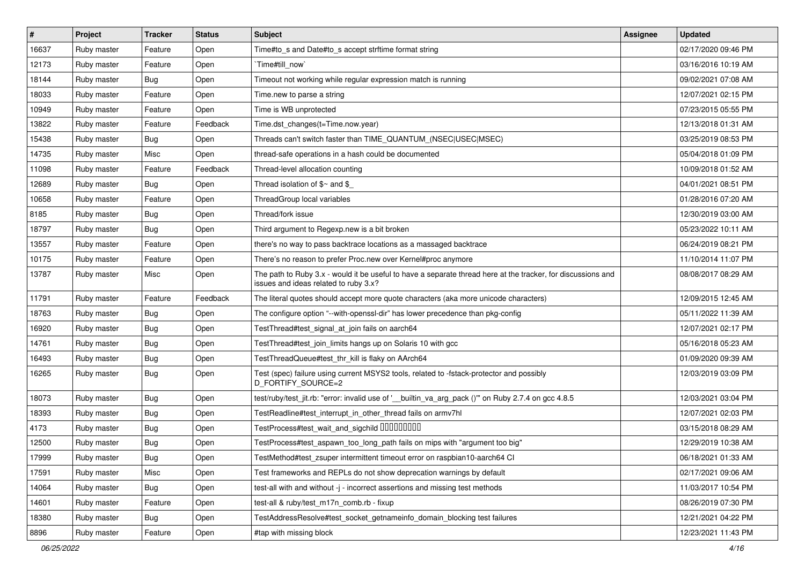| #     | Project     | <b>Tracker</b> | <b>Status</b> | <b>Subject</b>                                                                                                                                        | Assignee | <b>Updated</b>      |
|-------|-------------|----------------|---------------|-------------------------------------------------------------------------------------------------------------------------------------------------------|----------|---------------------|
| 16637 | Ruby master | Feature        | Open          | Time#to s and Date#to s accept strftime format string                                                                                                 |          | 02/17/2020 09:46 PM |
| 12173 | Ruby master | Feature        | Open          | Time#till now`                                                                                                                                        |          | 03/16/2016 10:19 AM |
| 18144 | Ruby master | Bug            | Open          | Timeout not working while regular expression match is running                                                                                         |          | 09/02/2021 07:08 AM |
| 18033 | Ruby master | Feature        | Open          | Time.new to parse a string                                                                                                                            |          | 12/07/2021 02:15 PM |
| 10949 | Ruby master | Feature        | Open          | Time is WB unprotected                                                                                                                                |          | 07/23/2015 05:55 PM |
| 13822 | Ruby master | Feature        | Feedback      | Time.dst_changes(t=Time.now.year)                                                                                                                     |          | 12/13/2018 01:31 AM |
| 15438 | Ruby master | Bug            | Open          | Threads can't switch faster than TIME QUANTUM (NSEC USEC MSEC)                                                                                        |          | 03/25/2019 08:53 PM |
| 14735 | Ruby master | Misc           | Open          | thread-safe operations in a hash could be documented                                                                                                  |          | 05/04/2018 01:09 PM |
| 11098 | Ruby master | Feature        | Feedback      | Thread-level allocation counting                                                                                                                      |          | 10/09/2018 01:52 AM |
| 12689 | Ruby master | <b>Bug</b>     | Open          | Thread isolation of $$~$ and \$                                                                                                                       |          | 04/01/2021 08:51 PM |
| 10658 | Ruby master | Feature        | Open          | ThreadGroup local variables                                                                                                                           |          | 01/28/2016 07:20 AM |
| 8185  | Ruby master | Bug            | Open          | Thread/fork issue                                                                                                                                     |          | 12/30/2019 03:00 AM |
| 18797 | Ruby master | <b>Bug</b>     | Open          | Third argument to Regexp.new is a bit broken                                                                                                          |          | 05/23/2022 10:11 AM |
| 13557 | Ruby master | Feature        | Open          | there's no way to pass backtrace locations as a massaged backtrace                                                                                    |          | 06/24/2019 08:21 PM |
| 10175 | Ruby master | Feature        | Open          | There's no reason to prefer Proc.new over Kernel#proc anymore                                                                                         |          | 11/10/2014 11:07 PM |
| 13787 | Ruby master | Misc           | Open          | The path to Ruby 3.x - would it be useful to have a separate thread here at the tracker, for discussions and<br>issues and ideas related to ruby 3.x? |          | 08/08/2017 08:29 AM |
| 11791 | Ruby master | Feature        | Feedback      | The literal quotes should accept more quote characters (aka more unicode characters)                                                                  |          | 12/09/2015 12:45 AM |
| 18763 | Ruby master | Bug            | Open          | The configure option "--with-openssl-dir" has lower precedence than pkg-config                                                                        |          | 05/11/2022 11:39 AM |
| 16920 | Ruby master | Bug            | Open          | TestThread#test_signal_at_join fails on aarch64                                                                                                       |          | 12/07/2021 02:17 PM |
| 14761 | Ruby master | <b>Bug</b>     | Open          | TestThread#test_join_limits hangs up on Solaris 10 with gcc                                                                                           |          | 05/16/2018 05:23 AM |
| 16493 | Ruby master | <b>Bug</b>     | Open          | TestThreadQueue#test_thr_kill is flaky on AArch64                                                                                                     |          | 01/09/2020 09:39 AM |
| 16265 | Ruby master | <b>Bug</b>     | Open          | Test (spec) failure using current MSYS2 tools, related to -fstack-protector and possibly<br>D_FORTIFY_SOURCE=2                                        |          | 12/03/2019 03:09 PM |
| 18073 | Ruby master | Bug            | Open          | test/ruby/test_jit.rb: "error: invalid use of ' builtin_va_arg_pack ()" on Ruby 2.7.4 on gcc 4.8.5                                                    |          | 12/03/2021 03:04 PM |
| 18393 | Ruby master | <b>Bug</b>     | Open          | TestReadline#test interrupt in other thread fails on armv7hl                                                                                          |          | 12/07/2021 02:03 PM |
| 4173  | Ruby master | <b>Bug</b>     | Open          | TestProcess#test_wait_and_sigchild 00000000                                                                                                           |          | 03/15/2018 08:29 AM |
| 12500 | Ruby master | Bug            | Open          | TestProcess#test_aspawn_too_long_path fails on mips with "argument too big"                                                                           |          | 12/29/2019 10:38 AM |
| 17999 | Ruby master | Bug            | Open          | TestMethod#test_zsuper intermittent timeout error on raspbian10-aarch64 CI                                                                            |          | 06/18/2021 01:33 AM |
| 17591 | Ruby master | Misc           | Open          | Test frameworks and REPLs do not show deprecation warnings by default                                                                                 |          | 02/17/2021 09:06 AM |
| 14064 | Ruby master | <b>Bug</b>     | Open          | test-all with and without -j - incorrect assertions and missing test methods                                                                          |          | 11/03/2017 10:54 PM |
| 14601 | Ruby master | Feature        | Open          | test-all & ruby/test m17n comb.rb - fixup                                                                                                             |          | 08/26/2019 07:30 PM |
| 18380 | Ruby master | Bug            | Open          | TestAddressResolve#test_socket_getnameinfo_domain_blocking test failures                                                                              |          | 12/21/2021 04:22 PM |
| 8896  | Ruby master | Feature        | Open          | #tap with missing block                                                                                                                               |          | 12/23/2021 11:43 PM |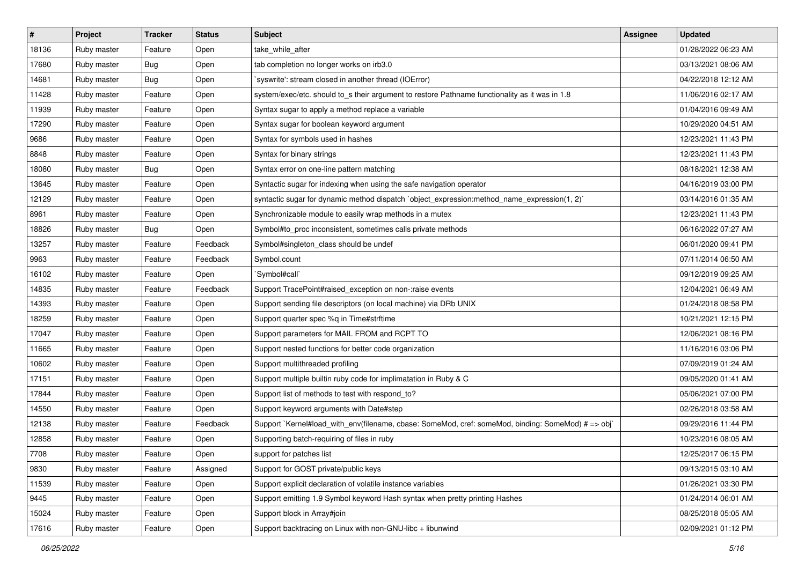| $\vert$ # | Project     | <b>Tracker</b> | <b>Status</b> | <b>Subject</b>                                                                                     | <b>Assignee</b> | <b>Updated</b>      |
|-----------|-------------|----------------|---------------|----------------------------------------------------------------------------------------------------|-----------------|---------------------|
| 18136     | Ruby master | Feature        | Open          | take_while_after                                                                                   |                 | 01/28/2022 06:23 AM |
| 17680     | Ruby master | Bug            | Open          | tab completion no longer works on irb3.0                                                           |                 | 03/13/2021 08:06 AM |
| 14681     | Ruby master | <b>Bug</b>     | Open          | 'syswrite': stream closed in another thread (IOError)                                              |                 | 04/22/2018 12:12 AM |
| 11428     | Ruby master | Feature        | Open          | system/exec/etc. should to_s their argument to restore Pathname functionality as it was in 1.8     |                 | 11/06/2016 02:17 AM |
| 11939     | Ruby master | Feature        | Open          | Syntax sugar to apply a method replace a variable                                                  |                 | 01/04/2016 09:49 AM |
| 17290     | Ruby master | Feature        | Open          | Syntax sugar for boolean keyword argument                                                          |                 | 10/29/2020 04:51 AM |
| 9686      | Ruby master | Feature        | Open          | Syntax for symbols used in hashes                                                                  |                 | 12/23/2021 11:43 PM |
| 8848      | Ruby master | Feature        | Open          | Syntax for binary strings                                                                          |                 | 12/23/2021 11:43 PM |
| 18080     | Ruby master | Bug            | Open          | Syntax error on one-line pattern matching                                                          |                 | 08/18/2021 12:38 AM |
| 13645     | Ruby master | Feature        | Open          | Syntactic sugar for indexing when using the safe navigation operator                               |                 | 04/16/2019 03:00 PM |
| 12129     | Ruby master | Feature        | Open          | syntactic sugar for dynamic method dispatch `object_expression:method_name_expression(1, 2)`       |                 | 03/14/2016 01:35 AM |
| 8961      | Ruby master | Feature        | Open          | Synchronizable module to easily wrap methods in a mutex                                            |                 | 12/23/2021 11:43 PM |
| 18826     | Ruby master | Bug            | Open          | Symbol#to_proc inconsistent, sometimes calls private methods                                       |                 | 06/16/2022 07:27 AM |
| 13257     | Ruby master | Feature        | Feedback      | Symbol#singleton_class should be undef                                                             |                 | 06/01/2020 09:41 PM |
| 9963      | Ruby master | Feature        | Feedback      | Symbol.count                                                                                       |                 | 07/11/2014 06:50 AM |
| 16102     | Ruby master | Feature        | Open          | `Symbol#call`                                                                                      |                 | 09/12/2019 09:25 AM |
| 14835     | Ruby master | Feature        | Feedback      | Support TracePoint#raised exception on non-:raise events                                           |                 | 12/04/2021 06:49 AM |
| 14393     | Ruby master | Feature        | Open          | Support sending file descriptors (on local machine) via DRb UNIX                                   |                 | 01/24/2018 08:58 PM |
| 18259     | Ruby master | Feature        | Open          | Support quarter spec %q in Time#strftime                                                           |                 | 10/21/2021 12:15 PM |
| 17047     | Ruby master | Feature        | Open          | Support parameters for MAIL FROM and RCPT TO                                                       |                 | 12/06/2021 08:16 PM |
| 11665     | Ruby master | Feature        | Open          | Support nested functions for better code organization                                              |                 | 11/16/2016 03:06 PM |
| 10602     | Ruby master | Feature        | Open          | Support multithreaded profiling                                                                    |                 | 07/09/2019 01:24 AM |
| 17151     | Ruby master | Feature        | Open          | Support multiple builtin ruby code for implimatation in Ruby & C                                   |                 | 09/05/2020 01:41 AM |
| 17844     | Ruby master | Feature        | Open          | Support list of methods to test with respond_to?                                                   |                 | 05/06/2021 07:00 PM |
| 14550     | Ruby master | Feature        | Open          | Support keyword arguments with Date#step                                                           |                 | 02/26/2018 03:58 AM |
| 12138     | Ruby master | Feature        | Feedback      | Support `Kernel#load_with_env(filename, cbase: SomeMod, cref: someMod, binding: SomeMod) # => obj` |                 | 09/29/2016 11:44 PM |
| 12858     | Ruby master | Feature        | Open          | Supporting batch-requiring of files in ruby                                                        |                 | 10/23/2016 08:05 AM |
| 7708      | Ruby master | Feature        | Open          | support for patches list                                                                           |                 | 12/25/2017 06:15 PM |
| 9830      | Ruby master | Feature        | Assigned      | Support for GOST private/public keys                                                               |                 | 09/13/2015 03:10 AM |
| 11539     | Ruby master | Feature        | Open          | Support explicit declaration of volatile instance variables                                        |                 | 01/26/2021 03:30 PM |
| 9445      | Ruby master | Feature        | Open          | Support emitting 1.9 Symbol keyword Hash syntax when pretty printing Hashes                        |                 | 01/24/2014 06:01 AM |
| 15024     | Ruby master | Feature        | Open          | Support block in Array#join                                                                        |                 | 08/25/2018 05:05 AM |
| 17616     | Ruby master | Feature        | Open          | Support backtracing on Linux with non-GNU-libc + libunwind                                         |                 | 02/09/2021 01:12 PM |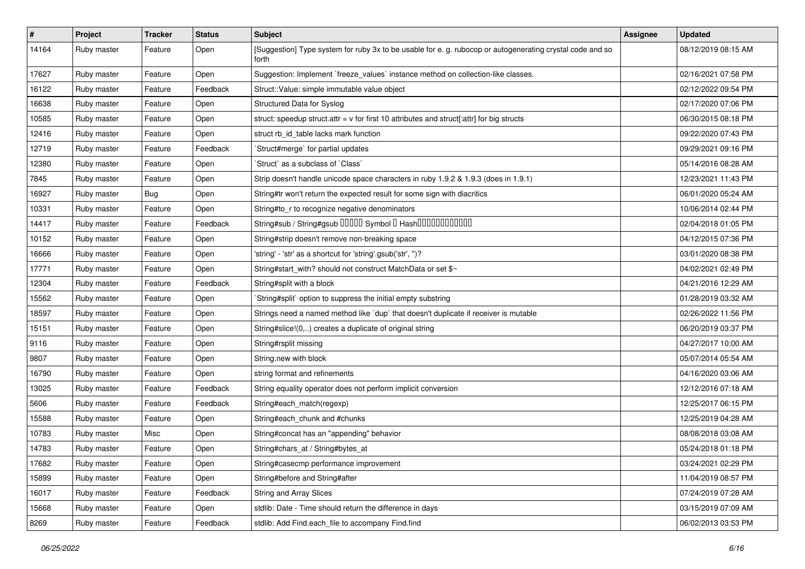| $\vert$ # | Project     | <b>Tracker</b> | <b>Status</b> | <b>Subject</b>                                                                                                     | <b>Assignee</b> | <b>Updated</b>      |
|-----------|-------------|----------------|---------------|--------------------------------------------------------------------------------------------------------------------|-----------------|---------------------|
| 14164     | Ruby master | Feature        | Open          | [Suggestion] Type system for ruby 3x to be usable for e. g. rubocop or autogenerating crystal code and so<br>forth |                 | 08/12/2019 08:15 AM |
| 17627     | Ruby master | Feature        | Open          | Suggestion: Implement `freeze_values` instance method on collection-like classes.                                  |                 | 02/16/2021 07:58 PM |
| 16122     | Ruby master | Feature        | Feedback      | Struct::Value: simple immutable value object                                                                       |                 | 02/12/2022 09:54 PM |
| 16638     | Ruby master | Feature        | Open          | Structured Data for Syslog                                                                                         |                 | 02/17/2020 07:06 PM |
| 10585     | Ruby master | Feature        | Open          | struct: speedup struct.attr = $v$ for first 10 attributes and struct[:attr] for big structs                        |                 | 06/30/2015 08:18 PM |
| 12416     | Ruby master | Feature        | Open          | struct rb id table lacks mark function                                                                             |                 | 09/22/2020 07:43 PM |
| 12719     | Ruby master | Feature        | Feedback      | 'Struct#merge' for partial updates                                                                                 |                 | 09/29/2021 09:16 PM |
| 12380     | Ruby master | Feature        | Open          | 'Struct' as a subclass of 'Class'                                                                                  |                 | 05/14/2016 08:28 AM |
| 7845      | Ruby master | Feature        | Open          | Strip doesn't handle unicode space characters in ruby 1.9.2 & 1.9.3 (does in 1.9.1)                                |                 | 12/23/2021 11:43 PM |
| 16927     | Ruby master | Bug            | Open          | String#tr won't return the expected result for some sign with diacritics                                           |                 | 06/01/2020 05:24 AM |
| 10331     | Ruby master | Feature        | Open          | String#to_r to recognize negative denominators                                                                     |                 | 10/06/2014 02:44 PM |
| 14417     | Ruby master | Feature        | Feedback      | String#sub / String#gsub 00000 Symbol 0 Hash000000000000                                                           |                 | 02/04/2018 01:05 PM |
| 10152     | Ruby master | Feature        | Open          | String#strip doesn't remove non-breaking space                                                                     |                 | 04/12/2015 07:36 PM |
| 16666     | Ruby master | Feature        | Open          | 'string' - 'str' as a shortcut for 'string'.gsub('str', ")?                                                        |                 | 03/01/2020 08:38 PM |
| 17771     | Ruby master | Feature        | Open          | String#start_with? should not construct MatchData or set \$~                                                       |                 | 04/02/2021 02:49 PM |
| 12304     | Ruby master | Feature        | Feedback      | String#split with a block                                                                                          |                 | 04/21/2016 12:29 AM |
| 15562     | Ruby master | Feature        | Open          | `String#split` option to suppress the initial empty substring                                                      |                 | 01/28/2019 03:32 AM |
| 18597     | Ruby master | Feature        | Open          | Strings need a named method like 'dup' that doesn't duplicate if receiver is mutable                               |                 | 02/26/2022 11:56 PM |
| 15151     | Ruby master | Feature        | Open          | String#slice!(0,) creates a duplicate of original string                                                           |                 | 06/20/2019 03:37 PM |
| 9116      | Ruby master | Feature        | Open          | String#rsplit missing                                                                                              |                 | 04/27/2017 10:00 AM |
| 9807      | Ruby master | Feature        | Open          | String.new with block                                                                                              |                 | 05/07/2014 05:54 AM |
| 16790     | Ruby master | Feature        | Open          | string format and refinements                                                                                      |                 | 04/16/2020 03:06 AM |
| 13025     | Ruby master | Feature        | Feedback      | String equality operator does not perform implicit conversion                                                      |                 | 12/12/2016 07:18 AM |
| 5606      | Ruby master | Feature        | Feedback      | String#each_match(regexp)                                                                                          |                 | 12/25/2017 06:15 PM |
| 15588     | Ruby master | Feature        | Open          | String#each_chunk and #chunks                                                                                      |                 | 12/25/2019 04:28 AM |
| 10783     | Ruby master | Misc           | Open          | String#concat has an "appending" behavior                                                                          |                 | 08/08/2018 03:08 AM |
| 14783     | Ruby master | Feature        | Open          | String#chars_at / String#bytes_at                                                                                  |                 | 05/24/2018 01:18 PM |
| 17682     | Ruby master | Feature        | Open          | String#casecmp performance improvement                                                                             |                 | 03/24/2021 02:29 PM |
| 15899     | Ruby master | Feature        | Open          | String#before and String#after                                                                                     |                 | 11/04/2019 08:57 PM |
| 16017     | Ruby master | Feature        | Feedback      | <b>String and Array Slices</b>                                                                                     |                 | 07/24/2019 07:28 AM |
| 15668     | Ruby master | Feature        | Open          | stdlib: Date - Time should return the difference in days                                                           |                 | 03/15/2019 07:09 AM |
| 8269      | Ruby master | Feature        | Feedback      | stdlib: Add Find.each_file to accompany Find.find                                                                  |                 | 06/02/2013 03:53 PM |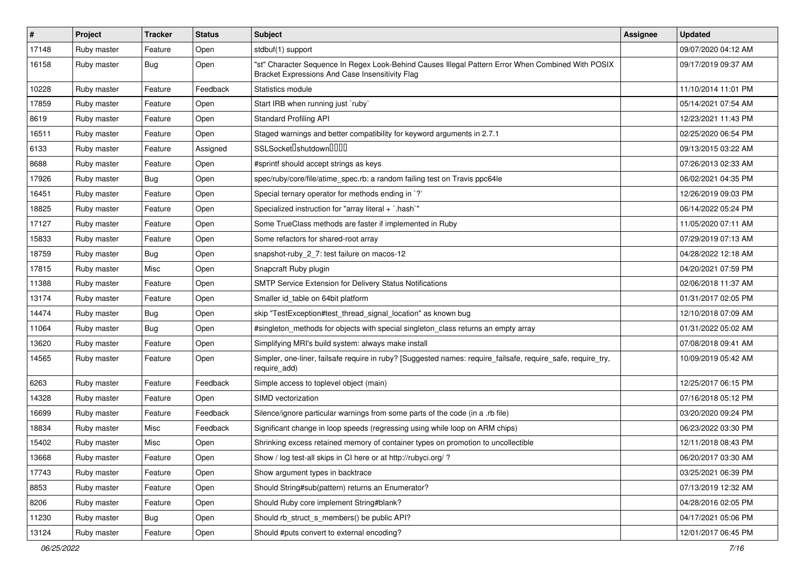| $\vert$ # | Project     | <b>Tracker</b> | <b>Status</b> | Subject                                                                                                                                               | <b>Assignee</b> | <b>Updated</b>      |
|-----------|-------------|----------------|---------------|-------------------------------------------------------------------------------------------------------------------------------------------------------|-----------------|---------------------|
| 17148     | Ruby master | Feature        | Open          | stdbuf(1) support                                                                                                                                     |                 | 09/07/2020 04:12 AM |
| 16158     | Ruby master | Bug            | Open          | "st" Character Sequence In Regex Look-Behind Causes Illegal Pattern Error When Combined With POSIX<br>Bracket Expressions And Case Insensitivity Flag |                 | 09/17/2019 09:37 AM |
| 10228     | Ruby master | Feature        | Feedback      | Statistics module                                                                                                                                     |                 | 11/10/2014 11:01 PM |
| 17859     | Ruby master | Feature        | Open          | Start IRB when running just `ruby`                                                                                                                    |                 | 05/14/2021 07:54 AM |
| 8619      | Ruby master | Feature        | Open          | <b>Standard Profiling API</b>                                                                                                                         |                 | 12/23/2021 11:43 PM |
| 16511     | Ruby master | Feature        | Open          | Staged warnings and better compatibility for keyword arguments in 2.7.1                                                                               |                 | 02/25/2020 06:54 PM |
| 6133      | Ruby master | Feature        | Assigned      | SSLSocket <sup>[</sup> shutdown <sup>[11]</sup>                                                                                                       |                 | 09/13/2015 03:22 AM |
| 8688      | Ruby master | Feature        | Open          | #sprintf should accept strings as keys                                                                                                                |                 | 07/26/2013 02:33 AM |
| 17926     | Ruby master | Bug            | Open          | spec/ruby/core/file/atime_spec.rb: a random failing test on Travis ppc64le                                                                            |                 | 06/02/2021 04:35 PM |
| 16451     | Ruby master | Feature        | Open          | Special ternary operator for methods ending in `?`                                                                                                    |                 | 12/26/2019 09:03 PM |
| 18825     | Ruby master | Feature        | Open          | Specialized instruction for "array literal + `.hash`"                                                                                                 |                 | 06/14/2022 05:24 PM |
| 17127     | Ruby master | Feature        | Open          | Some TrueClass methods are faster if implemented in Ruby                                                                                              |                 | 11/05/2020 07:11 AM |
| 15833     | Ruby master | Feature        | Open          | Some refactors for shared-root array                                                                                                                  |                 | 07/29/2019 07:13 AM |
| 18759     | Ruby master | Bug            | Open          | snapshot-ruby_2_7: test failure on macos-12                                                                                                           |                 | 04/28/2022 12:18 AM |
| 17815     | Ruby master | Misc           | Open          | Snapcraft Ruby plugin                                                                                                                                 |                 | 04/20/2021 07:59 PM |
| 11388     | Ruby master | Feature        | Open          | SMTP Service Extension for Delivery Status Notifications                                                                                              |                 | 02/06/2018 11:37 AM |
| 13174     | Ruby master | Feature        | Open          | Smaller id_table on 64bit platform                                                                                                                    |                 | 01/31/2017 02:05 PM |
| 14474     | Ruby master | <b>Bug</b>     | Open          | skip "TestException#test thread signal location" as known bug                                                                                         |                 | 12/10/2018 07:09 AM |
| 11064     | Ruby master | Bug            | Open          | #singleton_methods for objects with special singleton_class returns an empty array                                                                    |                 | 01/31/2022 05:02 AM |
| 13620     | Ruby master | Feature        | Open          | Simplifying MRI's build system: always make install                                                                                                   |                 | 07/08/2018 09:41 AM |
| 14565     | Ruby master | Feature        | Open          | Simpler, one-liner, failsafe require in ruby? [Suggested names: require_failsafe, require_safe, require_try,<br>require_add)                          |                 | 10/09/2019 05:42 AM |
| 6263      | Ruby master | Feature        | Feedback      | Simple access to toplevel object (main)                                                                                                               |                 | 12/25/2017 06:15 PM |
| 14328     | Ruby master | Feature        | Open          | SIMD vectorization                                                                                                                                    |                 | 07/16/2018 05:12 PM |
| 16699     | Ruby master | Feature        | Feedback      | Silence/ignore particular warnings from some parts of the code (in a .rb file)                                                                        |                 | 03/20/2020 09:24 PM |
| 18834     | Ruby master | Misc           | Feedback      | Significant change in loop speeds (regressing using while loop on ARM chips)                                                                          |                 | 06/23/2022 03:30 PM |
| 15402     | Ruby master | Misc           | Open          | Shrinking excess retained memory of container types on promotion to uncollectible                                                                     |                 | 12/11/2018 08:43 PM |
| 13668     | Ruby master | Feature        | Open          | Show / log test-all skips in CI here or at http://rubyci.org/ ?                                                                                       |                 | 06/20/2017 03:30 AM |
| 17743     | Ruby master | Feature        | Open          | Show argument types in backtrace                                                                                                                      |                 | 03/25/2021 06:39 PM |
| 8853      | Ruby master | Feature        | Open          | Should String#sub(pattern) returns an Enumerator?                                                                                                     |                 | 07/13/2019 12:32 AM |
| 8206      | Ruby master | Feature        | Open          | Should Ruby core implement String#blank?                                                                                                              |                 | 04/28/2016 02:05 PM |
| 11230     | Ruby master | <b>Bug</b>     | Open          | Should rb_struct_s_members() be public API?                                                                                                           |                 | 04/17/2021 05:06 PM |
| 13124     | Ruby master | Feature        | Open          | Should #puts convert to external encoding?                                                                                                            |                 | 12/01/2017 06:45 PM |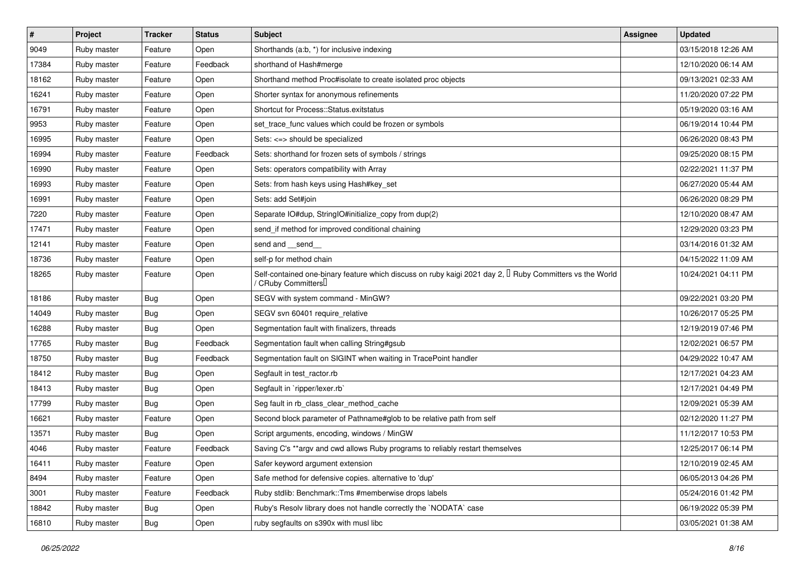| $\vert$ # | Project     | <b>Tracker</b> | <b>Status</b> | Subject                                                                                                                                      | <b>Assignee</b> | <b>Updated</b>      |
|-----------|-------------|----------------|---------------|----------------------------------------------------------------------------------------------------------------------------------------------|-----------------|---------------------|
| 9049      | Ruby master | Feature        | Open          | Shorthands (a:b, *) for inclusive indexing                                                                                                   |                 | 03/15/2018 12:26 AM |
| 17384     | Ruby master | Feature        | Feedback      | shorthand of Hash#merge                                                                                                                      |                 | 12/10/2020 06:14 AM |
| 18162     | Ruby master | Feature        | Open          | Shorthand method Proc#isolate to create isolated proc objects                                                                                |                 | 09/13/2021 02:33 AM |
| 16241     | Ruby master | Feature        | Open          | Shorter syntax for anonymous refinements                                                                                                     |                 | 11/20/2020 07:22 PM |
| 16791     | Ruby master | Feature        | Open          | Shortcut for Process::Status.exitstatus                                                                                                      |                 | 05/19/2020 03:16 AM |
| 9953      | Ruby master | Feature        | Open          | set_trace_func values which could be frozen or symbols                                                                                       |                 | 06/19/2014 10:44 PM |
| 16995     | Ruby master | Feature        | Open          | Sets: <=> should be specialized                                                                                                              |                 | 06/26/2020 08:43 PM |
| 16994     | Ruby master | Feature        | Feedback      | Sets: shorthand for frozen sets of symbols / strings                                                                                         |                 | 09/25/2020 08:15 PM |
| 16990     | Ruby master | Feature        | Open          | Sets: operators compatibility with Array                                                                                                     |                 | 02/22/2021 11:37 PM |
| 16993     | Ruby master | Feature        | Open          | Sets: from hash keys using Hash#key_set                                                                                                      |                 | 06/27/2020 05:44 AM |
| 16991     | Ruby master | Feature        | Open          | Sets: add Set#join                                                                                                                           |                 | 06/26/2020 08:29 PM |
| 7220      | Ruby master | Feature        | Open          | Separate IO#dup, StringIO#initialize_copy from dup(2)                                                                                        |                 | 12/10/2020 08:47 AM |
| 17471     | Ruby master | Feature        | Open          | send_if method for improved conditional chaining                                                                                             |                 | 12/29/2020 03:23 PM |
| 12141     | Ruby master | Feature        | Open          | send and __send__                                                                                                                            |                 | 03/14/2016 01:32 AM |
| 18736     | Ruby master | Feature        | Open          | self-p for method chain                                                                                                                      |                 | 04/15/2022 11:09 AM |
| 18265     | Ruby master | Feature        | Open          | Self-contained one-binary feature which discuss on ruby kaigi 2021 day 2, I Ruby Committers vs the World<br>/ CRuby Committers <sup>[]</sup> |                 | 10/24/2021 04:11 PM |
| 18186     | Ruby master | <b>Bug</b>     | Open          | SEGV with system command - MinGW?                                                                                                            |                 | 09/22/2021 03:20 PM |
| 14049     | Ruby master | <b>Bug</b>     | Open          | SEGV svn 60401 require relative                                                                                                              |                 | 10/26/2017 05:25 PM |
| 16288     | Ruby master | <b>Bug</b>     | Open          | Segmentation fault with finalizers, threads                                                                                                  |                 | 12/19/2019 07:46 PM |
| 17765     | Ruby master | Bug            | Feedback      | Segmentation fault when calling String#gsub                                                                                                  |                 | 12/02/2021 06:57 PM |
| 18750     | Ruby master | <b>Bug</b>     | Feedback      | Segmentation fault on SIGINT when waiting in TracePoint handler                                                                              |                 | 04/29/2022 10:47 AM |
| 18412     | Ruby master | Bug            | Open          | Segfault in test_ractor.rb                                                                                                                   |                 | 12/17/2021 04:23 AM |
| 18413     | Ruby master | <b>Bug</b>     | Open          | Segfault in `ripper/lexer.rb`                                                                                                                |                 | 12/17/2021 04:49 PM |
| 17799     | Ruby master | Bug            | Open          | Seg fault in rb_class_clear_method_cache                                                                                                     |                 | 12/09/2021 05:39 AM |
| 16621     | Ruby master | Feature        | Open          | Second block parameter of Pathname#glob to be relative path from self                                                                        |                 | 02/12/2020 11:27 PM |
| 13571     | Ruby master | Bug            | Open          | Script arguments, encoding, windows / MinGW                                                                                                  |                 | 11/12/2017 10:53 PM |
| 4046      | Ruby master | Feature        | Feedback      | Saving C's **argv and cwd allows Ruby programs to reliably restart themselves                                                                |                 | 12/25/2017 06:14 PM |
| 16411     | Ruby master | Feature        | Open          | Safer keyword argument extension                                                                                                             |                 | 12/10/2019 02:45 AM |
| 8494      | Ruby master | Feature        | Open          | Safe method for defensive copies. alternative to 'dup'                                                                                       |                 | 06/05/2013 04:26 PM |
| 3001      | Ruby master | Feature        | Feedback      | Ruby stdlib: Benchmark::Tms #memberwise drops labels                                                                                         |                 | 05/24/2016 01:42 PM |
| 18842     | Ruby master | <b>Bug</b>     | Open          | Ruby's Resolv library does not handle correctly the `NODATA` case                                                                            |                 | 06/19/2022 05:39 PM |
| 16810     | Ruby master | <b>Bug</b>     | Open          | ruby segfaults on s390x with musl libc                                                                                                       |                 | 03/05/2021 01:38 AM |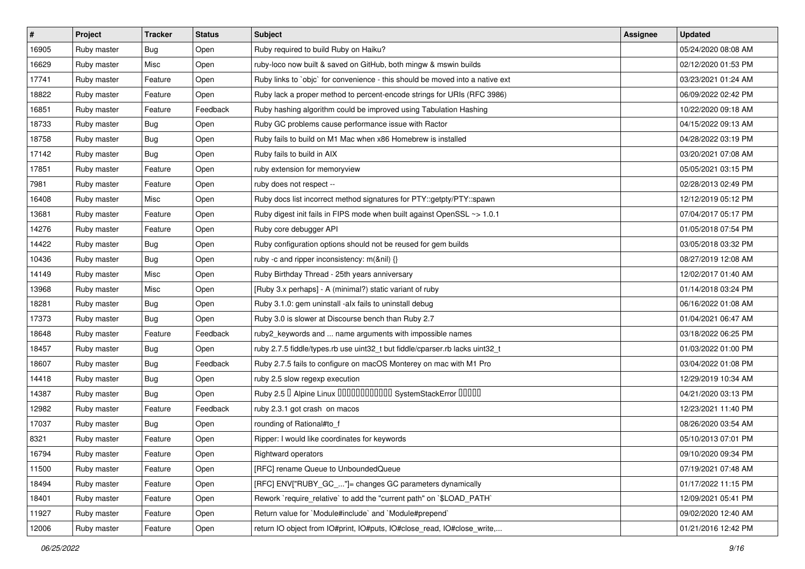| #     | Project     | <b>Tracker</b> | <b>Status</b> | Subject                                                                       | <b>Assignee</b> | <b>Updated</b>      |
|-------|-------------|----------------|---------------|-------------------------------------------------------------------------------|-----------------|---------------------|
| 16905 | Ruby master | Bug            | Open          | Ruby required to build Ruby on Haiku?                                         |                 | 05/24/2020 08:08 AM |
| 16629 | Ruby master | Misc           | Open          | ruby-loco now built & saved on GitHub, both mingw & mswin builds              |                 | 02/12/2020 01:53 PM |
| 17741 | Ruby master | Feature        | Open          | Ruby links to `objc` for convenience - this should be moved into a native ext |                 | 03/23/2021 01:24 AM |
| 18822 | Ruby master | Feature        | Open          | Ruby lack a proper method to percent-encode strings for URIs (RFC 3986)       |                 | 06/09/2022 02:42 PM |
| 16851 | Ruby master | Feature        | Feedback      | Ruby hashing algorithm could be improved using Tabulation Hashing             |                 | 10/22/2020 09:18 AM |
| 18733 | Ruby master | <b>Bug</b>     | Open          | Ruby GC problems cause performance issue with Ractor                          |                 | 04/15/2022 09:13 AM |
| 18758 | Ruby master | Bug            | Open          | Ruby fails to build on M1 Mac when x86 Homebrew is installed                  |                 | 04/28/2022 03:19 PM |
| 17142 | Ruby master | Bug            | Open          | Ruby fails to build in AIX                                                    |                 | 03/20/2021 07:08 AM |
| 17851 | Ruby master | Feature        | Open          | ruby extension for memoryview                                                 |                 | 05/05/2021 03:15 PM |
| 7981  | Ruby master | Feature        | Open          | ruby does not respect --                                                      |                 | 02/28/2013 02:49 PM |
| 16408 | Ruby master | Misc           | Open          | Ruby docs list incorrect method signatures for PTY::getpty/PTY::spawn         |                 | 12/12/2019 05:12 PM |
| 13681 | Ruby master | Feature        | Open          | Ruby digest init fails in FIPS mode when built against OpenSSL ~> 1.0.1       |                 | 07/04/2017 05:17 PM |
| 14276 | Ruby master | Feature        | Open          | Ruby core debugger API                                                        |                 | 01/05/2018 07:54 PM |
| 14422 | Ruby master | Bug            | Open          | Ruby configuration options should not be reused for gem builds                |                 | 03/05/2018 03:32 PM |
| 10436 | Ruby master | <b>Bug</b>     | Open          | ruby -c and ripper inconsistency: m(&nil) {}                                  |                 | 08/27/2019 12:08 AM |
| 14149 | Ruby master | Misc           | Open          | Ruby Birthday Thread - 25th years anniversary                                 |                 | 12/02/2017 01:40 AM |
| 13968 | Ruby master | Misc           | Open          | [Ruby 3.x perhaps] - A (minimal?) static variant of ruby                      |                 | 01/14/2018 03:24 PM |
| 18281 | Ruby master | <b>Bug</b>     | Open          | Ruby 3.1.0: gem uninstall -alx fails to uninstall debug                       |                 | 06/16/2022 01:08 AM |
| 17373 | Ruby master | Bug            | Open          | Ruby 3.0 is slower at Discourse bench than Ruby 2.7                           |                 | 01/04/2021 06:47 AM |
| 18648 | Ruby master | Feature        | Feedback      | ruby2_keywords and  name arguments with impossible names                      |                 | 03/18/2022 06:25 PM |
| 18457 | Ruby master | Bug            | Open          | ruby 2.7.5 fiddle/types.rb use uint32_t but fiddle/cparser.rb lacks uint32_t  |                 | 01/03/2022 01:00 PM |
| 18607 | Ruby master | <b>Bug</b>     | Feedback      | Ruby 2.7.5 fails to configure on macOS Monterey on mac with M1 Pro            |                 | 03/04/2022 01:08 PM |
| 14418 | Ruby master | <b>Bug</b>     | Open          | ruby 2.5 slow regexp execution                                                |                 | 12/29/2019 10:34 AM |
| 14387 | Ruby master | Bug            | Open          | Ruby 2.5 <sup>D</sup> Alpine Linux 000000000000 SystemStackError 00000        |                 | 04/21/2020 03:13 PM |
| 12982 | Ruby master | Feature        | Feedback      | ruby 2.3.1 got crash on macos                                                 |                 | 12/23/2021 11:40 PM |
| 17037 | Ruby master | Bug            | Open          | rounding of Rational#to_f                                                     |                 | 08/26/2020 03:54 AM |
| 8321  | Ruby master | Feature        | Open          | Ripper: I would like coordinates for keywords                                 |                 | 05/10/2013 07:01 PM |
| 16794 | Ruby master | Feature        | Open          | Rightward operators                                                           |                 | 09/10/2020 09:34 PM |
| 11500 | Ruby master | Feature        | Open          | [RFC] rename Queue to UnboundedQueue                                          |                 | 07/19/2021 07:48 AM |
| 18494 | Ruby master | Feature        | Open          | [RFC] ENV["RUBY_GC_"]= changes GC parameters dynamically                      |                 | 01/17/2022 11:15 PM |
| 18401 | Ruby master | Feature        | Open          | Rework `require relative` to add the "current path" on `\$LOAD PATH`          |                 | 12/09/2021 05:41 PM |
| 11927 | Ruby master | Feature        | Open          | Return value for `Module#include` and `Module#prepend`                        |                 | 09/02/2020 12:40 AM |
| 12006 | Ruby master | Feature        | Open          | return IO object from IO#print, IO#puts, IO#close_read, IO#close_write,       |                 | 01/21/2016 12:42 PM |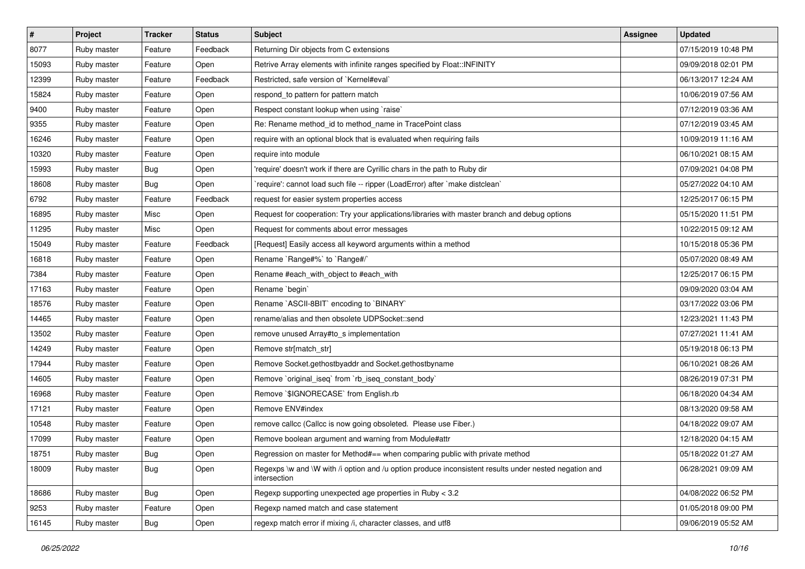| $\sharp$ | Project     | <b>Tracker</b> | <b>Status</b> | <b>Subject</b>                                                                                                        | <b>Assignee</b> | <b>Updated</b>      |
|----------|-------------|----------------|---------------|-----------------------------------------------------------------------------------------------------------------------|-----------------|---------------------|
| 8077     | Ruby master | Feature        | Feedback      | Returning Dir objects from C extensions                                                                               |                 | 07/15/2019 10:48 PM |
| 15093    | Ruby master | Feature        | Open          | Retrive Array elements with infinite ranges specified by Float::INFINITY                                              |                 | 09/09/2018 02:01 PM |
| 12399    | Ruby master | Feature        | Feedback      | Restricted, safe version of `Kernel#eval`                                                                             |                 | 06/13/2017 12:24 AM |
| 15824    | Ruby master | Feature        | Open          | respond_to pattern for pattern match                                                                                  |                 | 10/06/2019 07:56 AM |
| 9400     | Ruby master | Feature        | Open          | Respect constant lookup when using `raise`                                                                            |                 | 07/12/2019 03:36 AM |
| 9355     | Ruby master | Feature        | Open          | Re: Rename method_id to method_name in TracePoint class                                                               |                 | 07/12/2019 03:45 AM |
| 16246    | Ruby master | Feature        | Open          | require with an optional block that is evaluated when requiring fails                                                 |                 | 10/09/2019 11:16 AM |
| 10320    | Ruby master | Feature        | Open          | require into module                                                                                                   |                 | 06/10/2021 08:15 AM |
| 15993    | Ruby master | <b>Bug</b>     | Open          | 'require' doesn't work if there are Cyrillic chars in the path to Ruby dir                                            |                 | 07/09/2021 04:08 PM |
| 18608    | Ruby master | Bug            | Open          | 'require': cannot load such file -- ripper (LoadError) after 'make distclean'                                         |                 | 05/27/2022 04:10 AM |
| 6792     | Ruby master | Feature        | Feedback      | request for easier system properties access                                                                           |                 | 12/25/2017 06:15 PM |
| 16895    | Ruby master | Misc           | Open          | Request for cooperation: Try your applications/libraries with master branch and debug options                         |                 | 05/15/2020 11:51 PM |
| 11295    | Ruby master | Misc           | Open          | Request for comments about error messages                                                                             |                 | 10/22/2015 09:12 AM |
| 15049    | Ruby master | Feature        | Feedback      | [Request] Easily access all keyword arguments within a method                                                         |                 | 10/15/2018 05:36 PM |
| 16818    | Ruby master | Feature        | Open          | Rename `Range#%` to `Range#/`                                                                                         |                 | 05/07/2020 08:49 AM |
| 7384     | Ruby master | Feature        | Open          | Rename #each_with_object to #each_with                                                                                |                 | 12/25/2017 06:15 PM |
| 17163    | Ruby master | Feature        | Open          | Rename 'begin'                                                                                                        |                 | 09/09/2020 03:04 AM |
| 18576    | Ruby master | Feature        | Open          | Rename `ASCII-8BIT` encoding to `BINARY`                                                                              |                 | 03/17/2022 03:06 PM |
| 14465    | Ruby master | Feature        | Open          | rename/alias and then obsolete UDPSocket::send                                                                        |                 | 12/23/2021 11:43 PM |
| 13502    | Ruby master | Feature        | Open          | remove unused Array#to_s implementation                                                                               |                 | 07/27/2021 11:41 AM |
| 14249    | Ruby master | Feature        | Open          | Remove str[match_str]                                                                                                 |                 | 05/19/2018 06:13 PM |
| 17944    | Ruby master | Feature        | Open          | Remove Socket.gethostbyaddr and Socket.gethostbyname                                                                  |                 | 06/10/2021 08:26 AM |
| 14605    | Ruby master | Feature        | Open          | Remove `original_iseq` from `rb_iseq_constant_body`                                                                   |                 | 08/26/2019 07:31 PM |
| 16968    | Ruby master | Feature        | Open          | Remove `\$IGNORECASE` from English.rb                                                                                 |                 | 06/18/2020 04:34 AM |
| 17121    | Ruby master | Feature        | Open          | Remove ENV#index                                                                                                      |                 | 08/13/2020 09:58 AM |
| 10548    | Ruby master | Feature        | Open          | remove callcc (Callcc is now going obsoleted. Please use Fiber.)                                                      |                 | 04/18/2022 09:07 AM |
| 17099    | Ruby master | Feature        | Open          | Remove boolean argument and warning from Module#attr                                                                  |                 | 12/18/2020 04:15 AM |
| 18751    | Ruby master | Bug            | Open          | Regression on master for Method#== when comparing public with private method                                          |                 | 05/18/2022 01:27 AM |
| 18009    | Ruby master | <b>Bug</b>     | Open          | Regexps \w and \W with /i option and /u option produce inconsistent results under nested negation and<br>intersection |                 | 06/28/2021 09:09 AM |
| 18686    | Ruby master | <b>Bug</b>     | Open          | Regexp supporting unexpected age properties in Ruby < 3.2                                                             |                 | 04/08/2022 06:52 PM |
| 9253     | Ruby master | Feature        | Open          | Regexp named match and case statement                                                                                 |                 | 01/05/2018 09:00 PM |
| 16145    | Ruby master | Bug            | Open          | regexp match error if mixing /i, character classes, and utf8                                                          |                 | 09/06/2019 05:52 AM |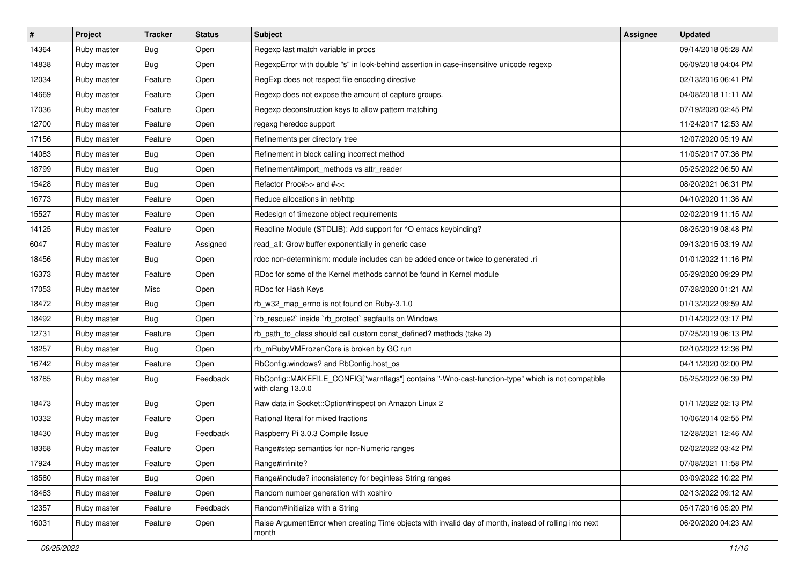| #     | Project     | <b>Tracker</b> | <b>Status</b> | Subject                                                                                                                | <b>Assignee</b> | <b>Updated</b>      |
|-------|-------------|----------------|---------------|------------------------------------------------------------------------------------------------------------------------|-----------------|---------------------|
| 14364 | Ruby master | <b>Bug</b>     | Open          | Regexp last match variable in procs                                                                                    |                 | 09/14/2018 05:28 AM |
| 14838 | Ruby master | Bug            | Open          | RegexpError with double "s" in look-behind assertion in case-insensitive unicode regexp                                |                 | 06/09/2018 04:04 PM |
| 12034 | Ruby master | Feature        | Open          | RegExp does not respect file encoding directive                                                                        |                 | 02/13/2016 06:41 PM |
| 14669 | Ruby master | Feature        | Open          | Regexp does not expose the amount of capture groups.                                                                   |                 | 04/08/2018 11:11 AM |
| 17036 | Ruby master | Feature        | Open          | Regexp deconstruction keys to allow pattern matching                                                                   |                 | 07/19/2020 02:45 PM |
| 12700 | Ruby master | Feature        | Open          | regexg heredoc support                                                                                                 |                 | 11/24/2017 12:53 AM |
| 17156 | Ruby master | Feature        | Open          | Refinements per directory tree                                                                                         |                 | 12/07/2020 05:19 AM |
| 14083 | Ruby master | Bug            | Open          | Refinement in block calling incorrect method                                                                           |                 | 11/05/2017 07:36 PM |
| 18799 | Ruby master | Bug            | Open          | Refinement#import_methods vs attr_reader                                                                               |                 | 05/25/2022 06:50 AM |
| 15428 | Ruby master | <b>Bug</b>     | Open          | Refactor Proc#>> and #<<                                                                                               |                 | 08/20/2021 06:31 PM |
| 16773 | Ruby master | Feature        | Open          | Reduce allocations in net/http                                                                                         |                 | 04/10/2020 11:36 AM |
| 15527 | Ruby master | Feature        | Open          | Redesign of timezone object requirements                                                                               |                 | 02/02/2019 11:15 AM |
| 14125 | Ruby master | Feature        | Open          | Readline Module (STDLIB): Add support for ^O emacs keybinding?                                                         |                 | 08/25/2019 08:48 PM |
| 6047  | Ruby master | Feature        | Assigned      | read all: Grow buffer exponentially in generic case                                                                    |                 | 09/13/2015 03:19 AM |
| 18456 | Ruby master | Bug            | Open          | rdoc non-determinism: module includes can be added once or twice to generated .ri                                      |                 | 01/01/2022 11:16 PM |
| 16373 | Ruby master | Feature        | Open          | RDoc for some of the Kernel methods cannot be found in Kernel module                                                   |                 | 05/29/2020 09:29 PM |
| 17053 | Ruby master | Misc           | Open          | RDoc for Hash Keys                                                                                                     |                 | 07/28/2020 01:21 AM |
| 18472 | Ruby master | Bug            | Open          | rb_w32_map_errno is not found on Ruby-3.1.0                                                                            |                 | 01/13/2022 09:59 AM |
| 18492 | Ruby master | Bug            | Open          | rb_rescue2` inside `rb_protect` segfaults on Windows                                                                   |                 | 01/14/2022 03:17 PM |
| 12731 | Ruby master | Feature        | Open          | rb_path_to_class should call custom const_defined? methods (take 2)                                                    |                 | 07/25/2019 06:13 PM |
| 18257 | Ruby master | Bug            | Open          | rb_mRubyVMFrozenCore is broken by GC run                                                                               |                 | 02/10/2022 12:36 PM |
| 16742 | Ruby master | Feature        | Open          | RbConfig.windows? and RbConfig.host_os                                                                                 |                 | 04/11/2020 02:00 PM |
| 18785 | Ruby master | Bug            | Feedback      | RbConfig::MAKEFILE_CONFIG["warnflags"] contains "-Wno-cast-function-type" which is not compatible<br>with clang 13.0.0 |                 | 05/25/2022 06:39 PM |
| 18473 | Ruby master | <b>Bug</b>     | Open          | Raw data in Socket:: Option#inspect on Amazon Linux 2                                                                  |                 | 01/11/2022 02:13 PM |
| 10332 | Ruby master | Feature        | Open          | Rational literal for mixed fractions                                                                                   |                 | 10/06/2014 02:55 PM |
| 18430 | Ruby master | Bug            | Feedback      | Raspberry Pi 3.0.3 Compile Issue                                                                                       |                 | 12/28/2021 12:46 AM |
| 18368 | Ruby master | Feature        | Open          | Range#step semantics for non-Numeric ranges                                                                            |                 | 02/02/2022 03:42 PM |
| 17924 | Ruby master | Feature        | Open          | Range#infinite?                                                                                                        |                 | 07/08/2021 11:58 PM |
| 18580 | Ruby master | <b>Bug</b>     | Open          | Range#include? inconsistency for beginless String ranges                                                               |                 | 03/09/2022 10:22 PM |
| 18463 | Ruby master | Feature        | Open          | Random number generation with xoshiro                                                                                  |                 | 02/13/2022 09:12 AM |
| 12357 | Ruby master | Feature        | Feedback      | Random#initialize with a String                                                                                        |                 | 05/17/2016 05:20 PM |
| 16031 | Ruby master | Feature        | Open          | Raise ArgumentError when creating Time objects with invalid day of month, instead of rolling into next<br>month        |                 | 06/20/2020 04:23 AM |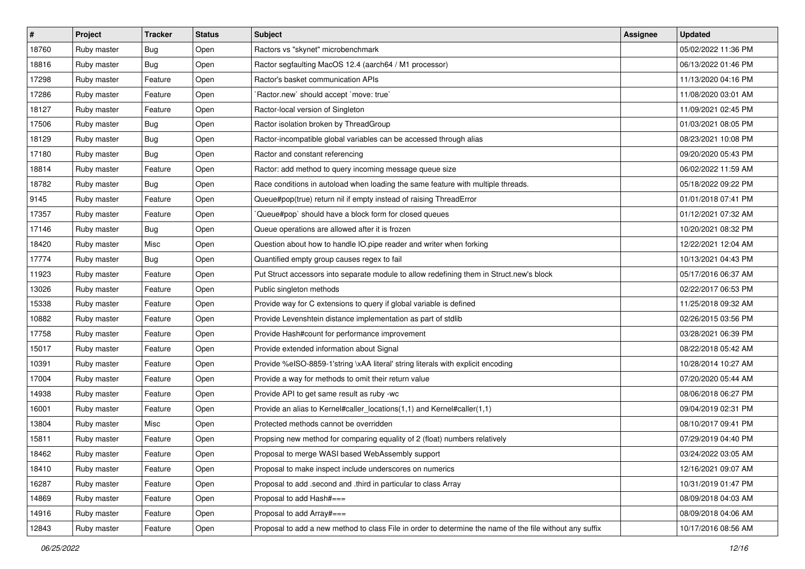| #     | Project     | <b>Tracker</b> | <b>Status</b> | Subject                                                                                                  | <b>Assignee</b> | <b>Updated</b>      |
|-------|-------------|----------------|---------------|----------------------------------------------------------------------------------------------------------|-----------------|---------------------|
| 18760 | Ruby master | Bug            | Open          | Ractors vs "skynet" microbenchmark                                                                       |                 | 05/02/2022 11:36 PM |
| 18816 | Ruby master | <b>Bug</b>     | Open          | Ractor segfaulting MacOS 12.4 (aarch64 / M1 processor)                                                   |                 | 06/13/2022 01:46 PM |
| 17298 | Ruby master | Feature        | Open          | Ractor's basket communication APIs                                                                       |                 | 11/13/2020 04:16 PM |
| 17286 | Ruby master | Feature        | Open          | 'Ractor.new' should accept 'move: true'                                                                  |                 | 11/08/2020 03:01 AM |
| 18127 | Ruby master | Feature        | Open          | Ractor-local version of Singleton                                                                        |                 | 11/09/2021 02:45 PM |
| 17506 | Ruby master | Bug            | Open          | Ractor isolation broken by ThreadGroup                                                                   |                 | 01/03/2021 08:05 PM |
| 18129 | Ruby master | Bug            | Open          | Ractor-incompatible global variables can be accessed through alias                                       |                 | 08/23/2021 10:08 PM |
| 17180 | Ruby master | Bug            | Open          | Ractor and constant referencing                                                                          |                 | 09/20/2020 05:43 PM |
| 18814 | Ruby master | Feature        | Open          | Ractor: add method to query incoming message queue size                                                  |                 | 06/02/2022 11:59 AM |
| 18782 | Ruby master | <b>Bug</b>     | Open          | Race conditions in autoload when loading the same feature with multiple threads.                         |                 | 05/18/2022 09:22 PM |
| 9145  | Ruby master | Feature        | Open          | Queue#pop(true) return nil if empty instead of raising ThreadError                                       |                 | 01/01/2018 07:41 PM |
| 17357 | Ruby master | Feature        | Open          | Queue#pop`should have a block form for closed queues                                                     |                 | 01/12/2021 07:32 AM |
| 17146 | Ruby master | Bug            | Open          | Queue operations are allowed after it is frozen                                                          |                 | 10/20/2021 08:32 PM |
| 18420 | Ruby master | Misc           | Open          | Question about how to handle IO.pipe reader and writer when forking                                      |                 | 12/22/2021 12:04 AM |
| 17774 | Ruby master | <b>Bug</b>     | Open          | Quantified empty group causes regex to fail                                                              |                 | 10/13/2021 04:43 PM |
| 11923 | Ruby master | Feature        | Open          | Put Struct accessors into separate module to allow redefining them in Struct.new's block                 |                 | 05/17/2016 06:37 AM |
| 13026 | Ruby master | Feature        | Open          | Public singleton methods                                                                                 |                 | 02/22/2017 06:53 PM |
| 15338 | Ruby master | Feature        | Open          | Provide way for C extensions to query if global variable is defined                                      |                 | 11/25/2018 09:32 AM |
| 10882 | Ruby master | Feature        | Open          | Provide Levenshtein distance implementation as part of stdlib                                            |                 | 02/26/2015 03:56 PM |
| 17758 | Ruby master | Feature        | Open          | Provide Hash#count for performance improvement                                                           |                 | 03/28/2021 06:39 PM |
| 15017 | Ruby master | Feature        | Open          | Provide extended information about Signal                                                                |                 | 08/22/2018 05:42 AM |
| 10391 | Ruby master | Feature        | Open          | Provide %eISO-8859-1'string \xAA literal' string literals with explicit encoding                         |                 | 10/28/2014 10:27 AM |
| 17004 | Ruby master | Feature        | Open          | Provide a way for methods to omit their return value                                                     |                 | 07/20/2020 05:44 AM |
| 14938 | Ruby master | Feature        | Open          | Provide API to get same result as ruby -wc                                                               |                 | 08/06/2018 06:27 PM |
| 16001 | Ruby master | Feature        | Open          | Provide an alias to Kernel#caller_locations(1,1) and Kernel#caller(1,1)                                  |                 | 09/04/2019 02:31 PM |
| 13804 | Ruby master | Misc           | Open          | Protected methods cannot be overridden                                                                   |                 | 08/10/2017 09:41 PM |
| 15811 | Ruby master | Feature        | Open          | Propsing new method for comparing equality of 2 (float) numbers relatively                               |                 | 07/29/2019 04:40 PM |
| 18462 | Ruby master | Feature        | Open          | Proposal to merge WASI based WebAssembly support                                                         |                 | 03/24/2022 03:05 AM |
| 18410 | Ruby master | Feature        | Open          | Proposal to make inspect include underscores on numerics                                                 |                 | 12/16/2021 09:07 AM |
| 16287 | Ruby master | Feature        | Open          | Proposal to add .second and .third in particular to class Array                                          |                 | 10/31/2019 01:47 PM |
| 14869 | Ruby master | Feature        | Open          | Proposal to add Hash#===                                                                                 |                 | 08/09/2018 04:03 AM |
| 14916 | Ruby master | Feature        | Open          | Proposal to add Array#===                                                                                |                 | 08/09/2018 04:06 AM |
| 12843 | Ruby master | Feature        | Open          | Proposal to add a new method to class File in order to determine the name of the file without any suffix |                 | 10/17/2016 08:56 AM |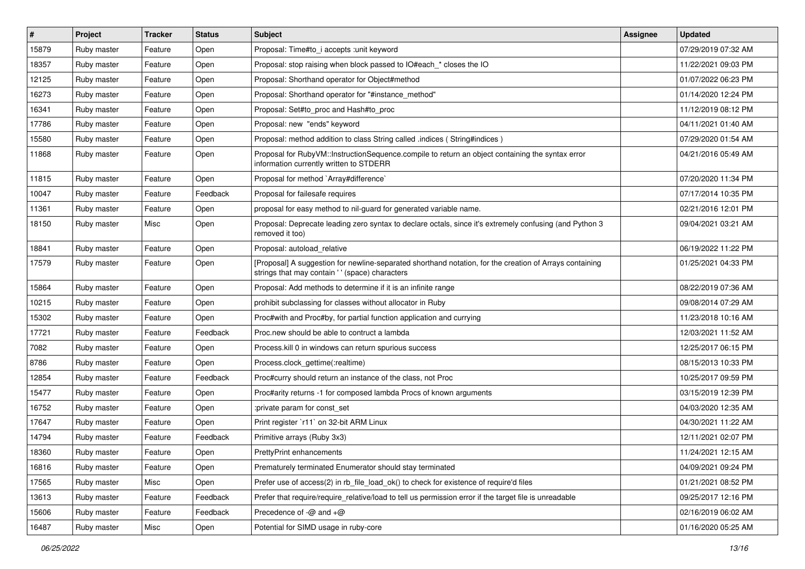| #     | <b>Project</b> | <b>Tracker</b> | <b>Status</b> | Subject                                                                                                                                                    | <b>Assignee</b> | <b>Updated</b>      |
|-------|----------------|----------------|---------------|------------------------------------------------------------------------------------------------------------------------------------------------------------|-----------------|---------------------|
| 15879 | Ruby master    | Feature        | Open          | Proposal: Time#to i accepts : unit keyword                                                                                                                 |                 | 07/29/2019 07:32 AM |
| 18357 | Ruby master    | Feature        | Open          | Proposal: stop raising when block passed to IO#each_* closes the IO                                                                                        |                 | 11/22/2021 09:03 PM |
| 12125 | Ruby master    | Feature        | Open          | Proposal: Shorthand operator for Object#method                                                                                                             |                 | 01/07/2022 06:23 PM |
| 16273 | Ruby master    | Feature        | Open          | Proposal: Shorthand operator for "#instance_method"                                                                                                        |                 | 01/14/2020 12:24 PM |
| 16341 | Ruby master    | Feature        | Open          | Proposal: Set#to_proc and Hash#to_proc                                                                                                                     |                 | 11/12/2019 08:12 PM |
| 17786 | Ruby master    | Feature        | Open          | Proposal: new "ends" keyword                                                                                                                               |                 | 04/11/2021 01:40 AM |
| 15580 | Ruby master    | Feature        | Open          | Proposal: method addition to class String called .indices (String#indices)                                                                                 |                 | 07/29/2020 01:54 AM |
| 11868 | Ruby master    | Feature        | Open          | Proposal for RubyVM::InstructionSequence.compile to return an object containing the syntax error<br>information currently written to STDERR                |                 | 04/21/2016 05:49 AM |
| 11815 | Ruby master    | Feature        | Open          | Proposal for method `Array#difference`                                                                                                                     |                 | 07/20/2020 11:34 PM |
| 10047 | Ruby master    | Feature        | Feedback      | Proposal for failesafe requires                                                                                                                            |                 | 07/17/2014 10:35 PM |
| 11361 | Ruby master    | Feature        | Open          | proposal for easy method to nil-guard for generated variable name.                                                                                         |                 | 02/21/2016 12:01 PM |
| 18150 | Ruby master    | Misc           | Open          | Proposal: Deprecate leading zero syntax to declare octals, since it's extremely confusing (and Python 3<br>removed it too)                                 |                 | 09/04/2021 03:21 AM |
| 18841 | Ruby master    | Feature        | Open          | Proposal: autoload relative                                                                                                                                |                 | 06/19/2022 11:22 PM |
| 17579 | Ruby master    | Feature        | Open          | [Proposal] A suggestion for newline-separated shorthand notation, for the creation of Arrays containing<br>strings that may contain ' ' (space) characters |                 | 01/25/2021 04:33 PM |
| 15864 | Ruby master    | Feature        | Open          | Proposal: Add methods to determine if it is an infinite range                                                                                              |                 | 08/22/2019 07:36 AM |
| 10215 | Ruby master    | Feature        | Open          | prohibit subclassing for classes without allocator in Ruby                                                                                                 |                 | 09/08/2014 07:29 AM |
| 15302 | Ruby master    | Feature        | Open          | Proc#with and Proc#by, for partial function application and currying                                                                                       |                 | 11/23/2018 10:16 AM |
| 17721 | Ruby master    | Feature        | Feedback      | Proc.new should be able to contruct a lambda                                                                                                               |                 | 12/03/2021 11:52 AM |
| 7082  | Ruby master    | Feature        | Open          | Process. kill 0 in windows can return spurious success                                                                                                     |                 | 12/25/2017 06:15 PM |
| 8786  | Ruby master    | Feature        | Open          | Process.clock_gettime(:realtime)                                                                                                                           |                 | 08/15/2013 10:33 PM |
| 12854 | Ruby master    | Feature        | Feedback      | Proc#curry should return an instance of the class, not Proc                                                                                                |                 | 10/25/2017 09:59 PM |
| 15477 | Ruby master    | Feature        | Open          | Proc#arity returns -1 for composed lambda Procs of known arguments                                                                                         |                 | 03/15/2019 12:39 PM |
| 16752 | Ruby master    | Feature        | Open          | :private param for const set                                                                                                                               |                 | 04/03/2020 12:35 AM |
| 17647 | Ruby master    | Feature        | Open          | Print register `r11` on 32-bit ARM Linux                                                                                                                   |                 | 04/30/2021 11:22 AM |
| 14794 | Ruby master    | Feature        | Feedback      | Primitive arrays (Ruby 3x3)                                                                                                                                |                 | 12/11/2021 02:07 PM |
| 18360 | Ruby master    | Feature        | Open          | PrettyPrint enhancements                                                                                                                                   |                 | 11/24/2021 12:15 AM |
| 16816 | Ruby master    | Feature        | Open          | Prematurely terminated Enumerator should stay terminated                                                                                                   |                 | 04/09/2021 09:24 PM |
| 17565 | Ruby master    | Misc           | Open          | Prefer use of access(2) in rb_file_load_ok() to check for existence of require'd files                                                                     |                 | 01/21/2021 08:52 PM |
| 13613 | Ruby master    | Feature        | Feedback      | Prefer that require/require_relative/load to tell us permission error if the target file is unreadable                                                     |                 | 09/25/2017 12:16 PM |
| 15606 | Ruby master    | Feature        | Feedback      | Precedence of $-\omega$ and $+\omega$                                                                                                                      |                 | 02/16/2019 06:02 AM |
| 16487 | Ruby master    | Misc           | Open          | Potential for SIMD usage in ruby-core                                                                                                                      |                 | 01/16/2020 05:25 AM |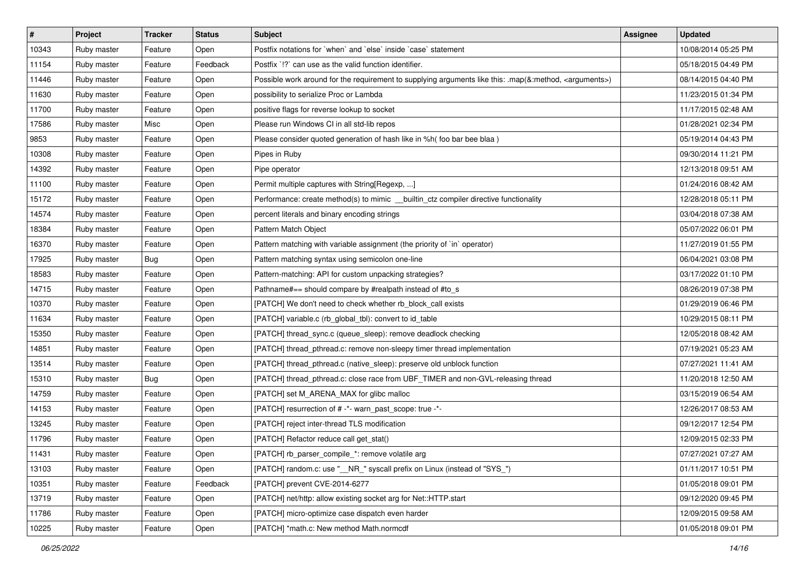| #     | Project     | <b>Tracker</b> | <b>Status</b> | <b>Subject</b>                                                                                                     | Assignee | <b>Updated</b>      |
|-------|-------------|----------------|---------------|--------------------------------------------------------------------------------------------------------------------|----------|---------------------|
| 10343 | Ruby master | Feature        | Open          | Postfix notations for `when` and `else` inside `case` statement                                                    |          | 10/08/2014 05:25 PM |
| 11154 | Ruby master | Feature        | Feedback      | Postfix '!?' can use as the valid function identifier.                                                             |          | 05/18/2015 04:49 PM |
| 11446 | Ruby master | Feature        | Open          | Possible work around for the requirement to supplying arguments like this: .map(&:method, <arguments>)</arguments> |          | 08/14/2015 04:40 PM |
| 11630 | Ruby master | Feature        | Open          | possibility to serialize Proc or Lambda                                                                            |          | 11/23/2015 01:34 PM |
| 11700 | Ruby master | Feature        | Open          | positive flags for reverse lookup to socket                                                                        |          | 11/17/2015 02:48 AM |
| 17586 | Ruby master | Misc           | Open          | Please run Windows CI in all std-lib repos                                                                         |          | 01/28/2021 02:34 PM |
| 9853  | Ruby master | Feature        | Open          | Please consider quoted generation of hash like in %h( foo bar bee blaa )                                           |          | 05/19/2014 04:43 PM |
| 10308 | Ruby master | Feature        | Open          | Pipes in Ruby                                                                                                      |          | 09/30/2014 11:21 PM |
| 14392 | Ruby master | Feature        | Open          | Pipe operator                                                                                                      |          | 12/13/2018 09:51 AM |
| 11100 | Ruby master | Feature        | Open          | Permit multiple captures with String[Regexp, ]                                                                     |          | 01/24/2016 08:42 AM |
| 15172 | Ruby master | Feature        | Open          | Performance: create method(s) to mimic __builtin_ctz compiler directive functionality                              |          | 12/28/2018 05:11 PM |
| 14574 | Ruby master | Feature        | Open          | percent literals and binary encoding strings                                                                       |          | 03/04/2018 07:38 AM |
| 18384 | Ruby master | Feature        | Open          | Pattern Match Object                                                                                               |          | 05/07/2022 06:01 PM |
| 16370 | Ruby master | Feature        | Open          | Pattern matching with variable assignment (the priority of `in` operator)                                          |          | 11/27/2019 01:55 PM |
| 17925 | Ruby master | Bug            | Open          | Pattern matching syntax using semicolon one-line                                                                   |          | 06/04/2021 03:08 PM |
| 18583 | Ruby master | Feature        | Open          | Pattern-matching: API for custom unpacking strategies?                                                             |          | 03/17/2022 01:10 PM |
| 14715 | Ruby master | Feature        | Open          | Pathname#== should compare by #realpath instead of #to_s                                                           |          | 08/26/2019 07:38 PM |
| 10370 | Ruby master | Feature        | Open          | [PATCH] We don't need to check whether rb_block_call exists                                                        |          | 01/29/2019 06:46 PM |
| 11634 | Ruby master | Feature        | Open          | [PATCH] variable.c (rb_global_tbl): convert to id_table                                                            |          | 10/29/2015 08:11 PM |
| 15350 | Ruby master | Feature        | Open          | [PATCH] thread_sync.c (queue_sleep): remove deadlock checking                                                      |          | 12/05/2018 08:42 AM |
| 14851 | Ruby master | Feature        | Open          | [PATCH] thread_pthread.c: remove non-sleepy timer thread implementation                                            |          | 07/19/2021 05:23 AM |
| 13514 | Ruby master | Feature        | Open          | [PATCH] thread_pthread.c (native_sleep): preserve old unblock function                                             |          | 07/27/2021 11:41 AM |
| 15310 | Ruby master | <b>Bug</b>     | Open          | [PATCH] thread_pthread.c: close race from UBF_TIMER and non-GVL-releasing thread                                   |          | 11/20/2018 12:50 AM |
| 14759 | Ruby master | Feature        | Open          | [PATCH] set M_ARENA_MAX for glibc malloc                                                                           |          | 03/15/2019 06:54 AM |
| 14153 | Ruby master | Feature        | Open          | [PATCH] resurrection of # -*- warn_past_scope: true -*-                                                            |          | 12/26/2017 08:53 AM |
| 13245 | Ruby master | Feature        | Open          | [PATCH] reject inter-thread TLS modification                                                                       |          | 09/12/2017 12:54 PM |
| 11796 | Ruby master | Feature        | Open          | [PATCH] Refactor reduce call get_stat()                                                                            |          | 12/09/2015 02:33 PM |
| 11431 | Ruby master | Feature        | Open          | [PATCH] rb_parser_compile_*: remove volatile arg                                                                   |          | 07/27/2021 07:27 AM |
| 13103 | Ruby master | Feature        | Open          | [PATCH] random.c: use "__NR_" syscall prefix on Linux (instead of "SYS_")                                          |          | 01/11/2017 10:51 PM |
| 10351 | Ruby master | Feature        | Feedback      | [PATCH] prevent CVE-2014-6277                                                                                      |          | 01/05/2018 09:01 PM |
| 13719 | Ruby master | Feature        | Open          | [PATCH] net/http: allow existing socket arg for Net::HTTP.start                                                    |          | 09/12/2020 09:45 PM |
| 11786 | Ruby master | Feature        | Open          | [PATCH] micro-optimize case dispatch even harder                                                                   |          | 12/09/2015 09:58 AM |
| 10225 | Ruby master | Feature        | Open          | [PATCH] *math.c: New method Math.normcdf                                                                           |          | 01/05/2018 09:01 PM |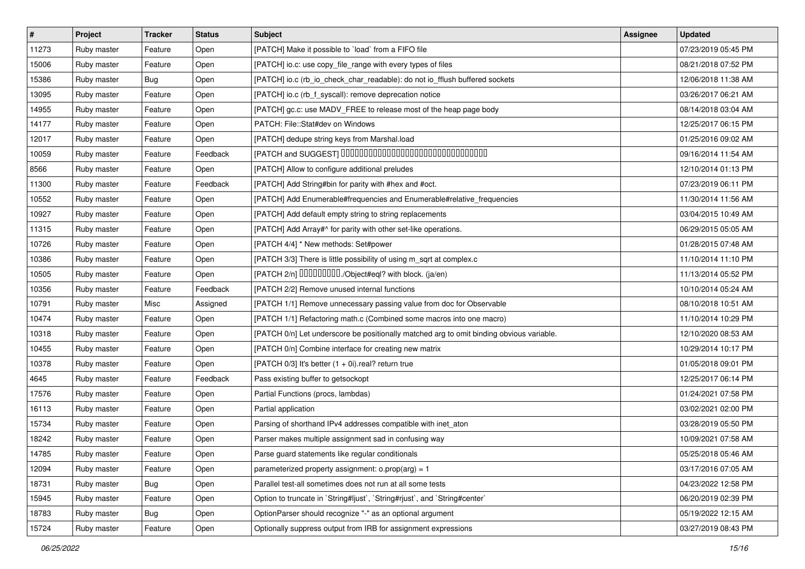| $\vert$ # | Project     | <b>Tracker</b> | <b>Status</b> | <b>Subject</b>                                                                           | <b>Assignee</b> | <b>Updated</b>      |
|-----------|-------------|----------------|---------------|------------------------------------------------------------------------------------------|-----------------|---------------------|
| 11273     | Ruby master | Feature        | Open          | [PATCH] Make it possible to `load` from a FIFO file                                      |                 | 07/23/2019 05:45 PM |
| 15006     | Ruby master | Feature        | Open          | [PATCH] io.c: use copy_file_range with every types of files                              |                 | 08/21/2018 07:52 PM |
| 15386     | Ruby master | Bug            | Open          | [PATCH] io.c (rb_io_check_char_readable): do not io_fflush buffered sockets              |                 | 12/06/2018 11:38 AM |
| 13095     | Ruby master | Feature        | Open          | [PATCH] io.c (rb_f_syscall): remove deprecation notice                                   |                 | 03/26/2017 06:21 AM |
| 14955     | Ruby master | Feature        | Open          | [PATCH] gc.c: use MADV_FREE to release most of the heap page body                        |                 | 08/14/2018 03:04 AM |
| 14177     | Ruby master | Feature        | Open          | PATCH: File::Stat#dev on Windows                                                         |                 | 12/25/2017 06:15 PM |
| 12017     | Ruby master | Feature        | Open          | [PATCH] dedupe string keys from Marshal.load                                             |                 | 01/25/2016 09:02 AM |
| 10059     | Ruby master | Feature        | Feedback      | [PATCH and SUGGEST] 0000000000000000000000000000000                                      |                 | 09/16/2014 11:54 AM |
| 8566      | Ruby master | Feature        | Open          | [PATCH] Allow to configure additional preludes                                           |                 | 12/10/2014 01:13 PM |
| 11300     | Ruby master | Feature        | Feedback      | [PATCH] Add String#bin for parity with #hex and #oct.                                    |                 | 07/23/2019 06:11 PM |
| 10552     | Ruby master | Feature        | Open          | [PATCH] Add Enumerable#frequencies and Enumerable#relative_frequencies                   |                 | 11/30/2014 11:56 AM |
| 10927     | Ruby master | Feature        | Open          | [PATCH] Add default empty string to string replacements                                  |                 | 03/04/2015 10:49 AM |
| 11315     | Ruby master | Feature        | Open          | [PATCH] Add Array#^ for parity with other set-like operations.                           |                 | 06/29/2015 05:05 AM |
| 10726     | Ruby master | Feature        | Open          | [PATCH 4/4] * New methods: Set#power                                                     |                 | 01/28/2015 07:48 AM |
| 10386     | Ruby master | Feature        | Open          | [PATCH 3/3] There is little possibility of using m_sqrt at complex.c                     |                 | 11/10/2014 11:10 PM |
| 10505     | Ruby master | Feature        | Open          | [PATCH 2/n] DDDDDDDD./Object#eql? with block. (ja/en)                                    |                 | 11/13/2014 05:52 PM |
| 10356     | Ruby master | Feature        | Feedback      | [PATCH 2/2] Remove unused internal functions                                             |                 | 10/10/2014 05:24 AM |
| 10791     | Ruby master | Misc           | Assigned      | [PATCH 1/1] Remove unnecessary passing value from doc for Observable                     |                 | 08/10/2018 10:51 AM |
| 10474     | Ruby master | Feature        | Open          | [PATCH 1/1] Refactoring math.c (Combined some macros into one macro)                     |                 | 11/10/2014 10:29 PM |
| 10318     | Ruby master | Feature        | Open          | [PATCH 0/n] Let underscore be positionally matched arg to omit binding obvious variable. |                 | 12/10/2020 08:53 AM |
| 10455     | Ruby master | Feature        | Open          | [PATCH 0/n] Combine interface for creating new matrix                                    |                 | 10/29/2014 10:17 PM |
| 10378     | Ruby master | Feature        | Open          | [PATCH 0/3] It's better (1 + 0i).real? return true                                       |                 | 01/05/2018 09:01 PM |
| 4645      | Ruby master | Feature        | Feedback      | Pass existing buffer to getsockopt                                                       |                 | 12/25/2017 06:14 PM |
| 17576     | Ruby master | Feature        | Open          | Partial Functions (procs, lambdas)                                                       |                 | 01/24/2021 07:58 PM |
| 16113     | Ruby master | Feature        | Open          | Partial application                                                                      |                 | 03/02/2021 02:00 PM |
| 15734     | Ruby master | Feature        | Open          | Parsing of shorthand IPv4 addresses compatible with inet_aton                            |                 | 03/28/2019 05:50 PM |
| 18242     | Ruby master | Feature        | Open          | Parser makes multiple assignment sad in confusing way                                    |                 | 10/09/2021 07:58 AM |
| 14785     | Ruby master | Feature        | Open          | Parse guard statements like regular conditionals                                         |                 | 05/25/2018 05:46 AM |
| 12094     | Ruby master | Feature        | Open          | parameterized property assignment: $o.pop(arg) = 1$                                      |                 | 03/17/2016 07:05 AM |
| 18731     | Ruby master | Bug            | Open          | Parallel test-all sometimes does not run at all some tests                               |                 | 04/23/2022 12:58 PM |
| 15945     | Ruby master | Feature        | Open          | Option to truncate in `String#ljust`, `String#rjust`, and `String#center`                |                 | 06/20/2019 02:39 PM |
| 18783     | Ruby master | <b>Bug</b>     | Open          | OptionParser should recognize "-" as an optional argument                                |                 | 05/19/2022 12:15 AM |
| 15724     | Ruby master | Feature        | Open          | Optionally suppress output from IRB for assignment expressions                           |                 | 03/27/2019 08:43 PM |